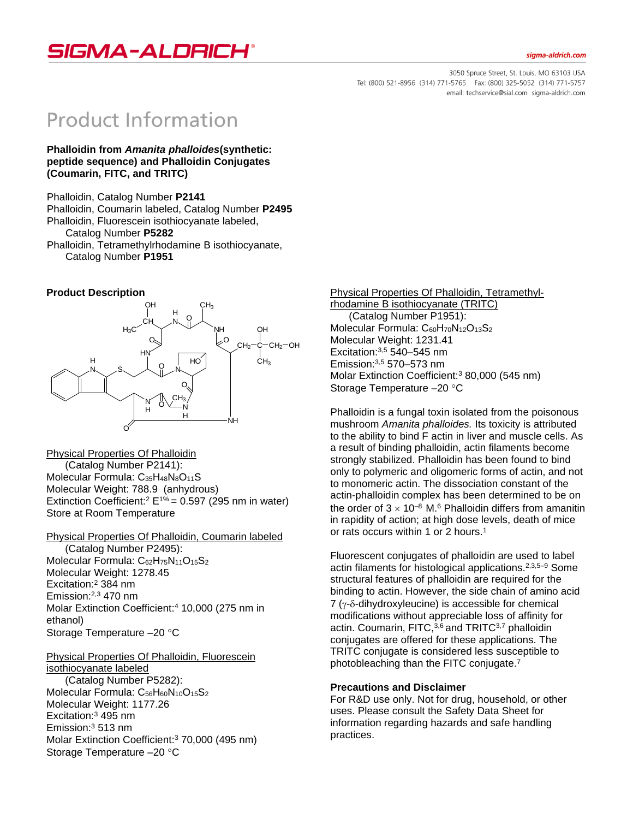siama-aldrich.com



3050 Spruce Street, St. Louis, MO 63103 USA Tel: (800) 521-8956 (314) 771-5765 Fax: (800) 325-5052 (314) 771-5757 email: techservice@sial.com sigma-aldrich.com

# **Product Information**

**Phalloidin from** *Amanita phalloides***(synthetic: peptide sequence) and Phalloidin Conjugates (Coumarin, FITC, and TRITC)**

Phalloidin, Catalog Number **P2141** Phalloidin, Coumarin labeled, Catalog Number **P2495** Phalloidin, Fluorescein isothiocyanate labeled, Catalog Number **P5282** Phalloidin, Tetramethylrhodamine B isothiocyanate, Catalog Number **P1951**

## **Product Description**



Physical Properties Of Phalloidin (Catalog Number P2141): Molecular Formula: C<sub>35</sub>H<sub>48</sub>N<sub>8</sub>O<sub>11</sub>S Molecular Weight: 788.9 (anhydrous) Extinction Coefficient:<sup>2</sup> E<sup>1%</sup> = 0.597 (295 nm in water) Store at Room Temperature

Physical Properties Of Phalloidin, Coumarin labeled (Catalog Number P2495): Molecular Formula: C<sub>62</sub>H<sub>75</sub>N<sub>11</sub>O<sub>15</sub>S<sub>2</sub> Molecular Weight: 1278.45 Excitation:<sup>2</sup> 384 nm Emission:2,3 470 nm Molar Extinction Coefficient:<sup>4</sup> 10,000 (275 nm in ethanol) Storage Temperature -20 °C

#### Physical Properties Of Phalloidin, Fluorescein isothiocyanate labeled

(Catalog Number P5282): Molecular Formula: C<sub>56</sub>H<sub>60</sub>N<sub>10</sub>O<sub>15</sub>S<sub>2</sub> Molecular Weight: 1177.26 Excitation:<sup>3</sup> 495 nm Emission:<sup>3</sup> 513 nm Molar Extinction Coefficient:<sup>3</sup> 70,000 (495 nm) Storage Temperature -20 °C

Physical Properties Of Phalloidin, Tetramethylrhodamine B isothiocyanate (TRITC) (Catalog Number P1951): Molecular Formula:  $C_{60}H_{70}N_{12}O_{13}S_2$ Molecular Weight: 1231.41 Excitation:3,5 540–545 nm Emission:3,5 570–573 nm Molar Extinction Coefficient:<sup>3</sup> 80,000 (545 nm) Storage Temperature -20 °C

Phalloidin is a fungal toxin isolated from the poisonous mushroom *Amanita phalloides.* Its toxicity is attributed to the ability to bind F actin in liver and muscle cells. As a result of binding phalloidin, actin filaments become strongly stabilized. Phalloidin has been found to bind only to polymeric and oligomeric forms of actin, and not to monomeric actin. The dissociation constant of the actin-phalloidin complex has been determined to be on the order of  $3 \times 10^{-8}$  M.<sup>6</sup> Phalloidin differs from amanitin in rapidity of action; at high dose levels, death of mice or rats occurs within 1 or 2 hours.<sup>1</sup>

Fluorescent conjugates of phalloidin are used to label actin filaments for histological applications.2,3,5–9 Some structural features of phalloidin are required for the binding to actin. However, the side chain of amino acid  $7$  ( $y$ - $\delta$ -dihydroxyleucine) is accessible for chemical modifications without appreciable loss of affinity for actin. Coumarin, FITC, $3,6$  and TRITC $3,7$  phalloidin conjugates are offered for these applications. The TRITC conjugate is considered less susceptible to photobleaching than the FITC conjugate.<sup>7</sup>

## **Precautions and Disclaimer**

For R&D use only. Not for drug, household, or other uses. Please consult the Safety Data Sheet for information regarding hazards and safe handling practices.